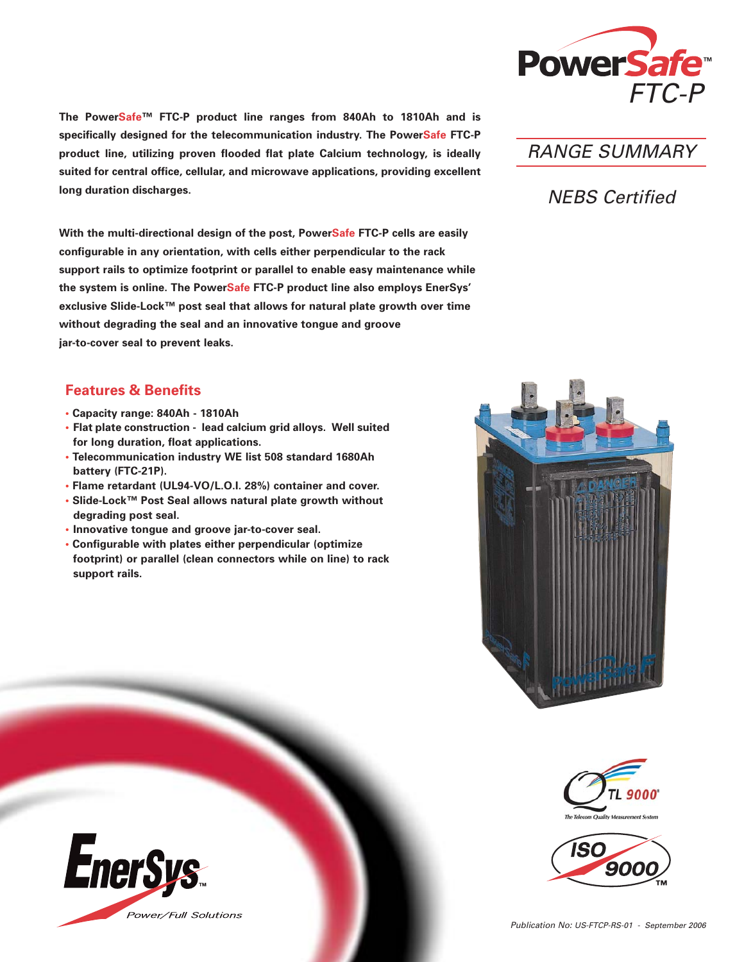

**The PowerSafe™ FTC-P product line ranges from 840Ah to 1810Ah and is specifically designed for the telecommunication industry. The PowerSafe FTC-P product line, utilizing proven flooded flat plate Calcium technology, is ideally suited for central office, cellular, and microwave applications, providing excellent long duration discharges.** 

**With the multi-directional design of the post, PowerSafe FTC-P cells are easily configurable in any orientation, with cells either perpendicular to the rack support rails to optimize footprint or parallel to enable easy maintenance while the system is online. The PowerSafe FTC-P product line also employs EnerSys' exclusive Slide-Lock™ post seal that allows for natural plate growth over time without degrading the seal and an innovative tongue and groove jar-to-cover seal to prevent leaks.**

## **Features & Benefits**

- **• Capacity range: 840Ah 1810Ah**
- **• Flat plate construction lead calcium grid alloys. Well suited for long duration, float applications.**
- **Telecommunication industry WE list 508 standard 1680Ah battery (FTC-21P).**
- **Flame retardant (UL94-VO/L.O.I. 28%) container and cover.**
- **• Slide-Lock™ Post Seal allows natural plate growth without degrading post seal.**
- **• Innovative tongue and groove jar-to-cover seal.**
- **• Configurable with plates either perpendicular (optimize footprint) or parallel (clean connectors while on line) to rack support rails.**



## NEBS Certified